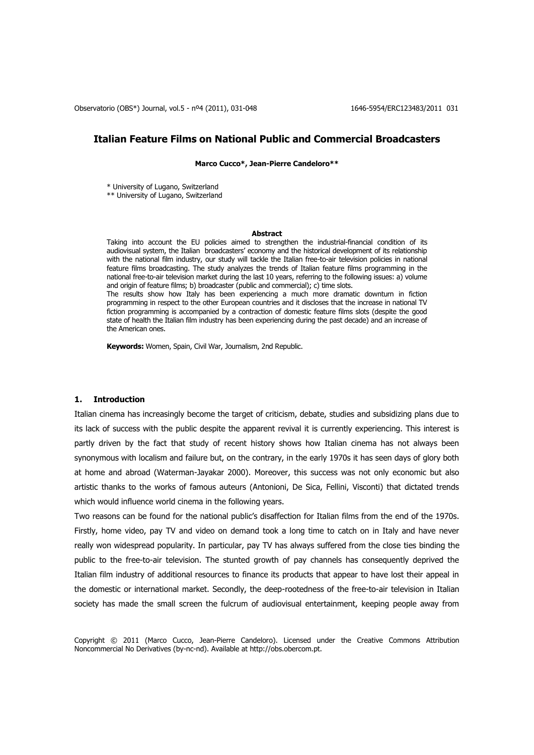Observatorio (OBS\*) Journal, vol.5 - nº4 (2011), 031-048 1646-5954/ERC123483/2011 031

# **Italian Feature Films on National Public and Commercial Broadcasters**

**Marco Cucco\*, Jean-Pierre Candeloro\*\***

\* University of Lugano, Switzerland

\*\* University of Lugano, Switzerland

#### **Abstract**

Taking into account the EU policies aimed to strengthen the industrial-financial condition of its audiovisual system, the Italian broadcasters" economy and the historical development of its relationship with the national film industry, our study will tackle the Italian free-to-air television policies in national feature films broadcasting. The study analyzes the trends of Italian feature films programming in the national free-to-air television market during the last 10 years, referring to the following issues: a) volume and origin of feature films; b) broadcaster (public and commercial); c) time slots. The results show how Italy has been experiencing a much more dramatic downturn in fiction programming in respect to the other European countries and it discloses that the increase in national TV fiction programming is accompanied by a contraction of domestic feature films slots (despite the good state of health the Italian film industry has been experiencing during the past decade) and an increase of the American ones.

**Keywords:** Women, Spain, Civil War, Journalism, 2nd Republic.

#### **1. Introduction**

Italian cinema has increasingly become the target of criticism, debate, studies and subsidizing plans due to its lack of success with the public despite the apparent revival it is currently experiencing. This interest is partly driven by the fact that study of recent history shows how Italian cinema has not always been synonymous with localism and failure but, on the contrary, in the early 1970s it has seen days of glory both at home and abroad (Waterman-Jayakar 2000). Moreover, this success was not only economic but also artistic thanks to the works of famous auteurs (Antonioni, De Sica, Fellini, Visconti) that dictated trends which would influence world cinema in the following years.

Two reasons can be found for the national public's disaffection for Italian films from the end of the 1970s. Firstly, home video, pay TV and video on demand took a long time to catch on in Italy and have never really won widespread popularity. In particular, pay TV has always suffered from the close ties binding the public to the free-to-air television. The stunted growth of pay channels has consequently deprived the Italian film industry of additional resources to finance its products that appear to have lost their appeal in the domestic or international market. Secondly, the deep-rootedness of the free-to-air television in Italian society has made the small screen the fulcrum of audiovisual entertainment, keeping people away from

Copyright © 2011 (Marco Cucco, Jean-Pierre Candeloro). Licensed under the Creative Commons Attribution Noncommercial No Derivatives (by-nc-nd). Available at http://obs.obercom.pt.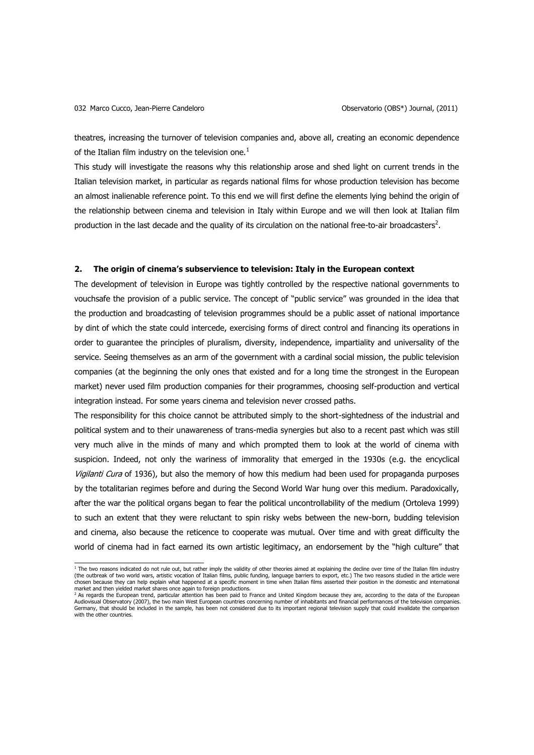theatres, increasing the turnover of television companies and, above all, creating an economic dependence of the Italian film industry on the television one. $<sup>1</sup>$ </sup>

This study will investigate the reasons why this relationship arose and shed light on current trends in the Italian television market, in particular as regards national films for whose production television has become an almost inalienable reference point. To this end we will first define the elements lying behind the origin of the relationship between cinema and television in Italy within Europe and we will then look at Italian film production in the last decade and the quality of its circulation on the national free-to-air broadcasters<sup>2</sup>.

#### **2. The origin of cinema's subservience to television: Italy in the European context**

The development of television in Europe was tightly controlled by the respective national governments to vouchsafe the provision of a public service. The concept of "public service" was grounded in the idea that the production and broadcasting of television programmes should be a public asset of national importance by dint of which the state could intercede, exercising forms of direct control and financing its operations in order to guarantee the principles of pluralism, diversity, independence, impartiality and universality of the service. Seeing themselves as an arm of the government with a cardinal social mission, the public television companies (at the beginning the only ones that existed and for a long time the strongest in the European market) never used film production companies for their programmes, choosing self-production and vertical integration instead. For some years cinema and television never crossed paths.

The responsibility for this choice cannot be attributed simply to the short-sightedness of the industrial and political system and to their unawareness of trans-media synergies but also to a recent past which was still very much alive in the minds of many and which prompted them to look at the world of cinema with suspicion. Indeed, not only the wariness of immorality that emerged in the 1930s (e.g. the encyclical Vigilanti Cura of 1936), but also the memory of how this medium had been used for propaganda purposes by the totalitarian regimes before and during the Second World War hung over this medium. Paradoxically, after the war the political organs began to fear the political uncontrollability of the medium (Ortoleva 1999) to such an extent that they were reluctant to spin risky webs between the new-born, budding television and cinema, also because the reticence to cooperate was mutual. Over time and with great difficulty the world of cinema had in fact earned its own artistic legitimacy, an endorsement by the "high culture" that

 <sup>1</sup> The two reasons indicated do not rule out, but rather imply the validity of other theories aimed at explaining the decline over time of the Italian film industry (the outbreak of two world wars, artistic vocation of Italian films, public funding, language barriers to export, etc.) The two reasons studied in the article were chosen because they can help explain what happened at a specific moment in time when Italian films asserted their position in the domestic and international

market and then yielded market shares once again to foreign productions.<br><sup>2</sup> As regards the European trend, particular attention has been paid to France and United Kingdom because they are, according to the data of the Eur Audiovisual Observatory (2007), the two main West European countries concerning number of inhabitants and financial performances of the television companies. Germany, that should be included in the sample, has been not considered due to its important regional television supply that could invalidate the comparison with the other countries.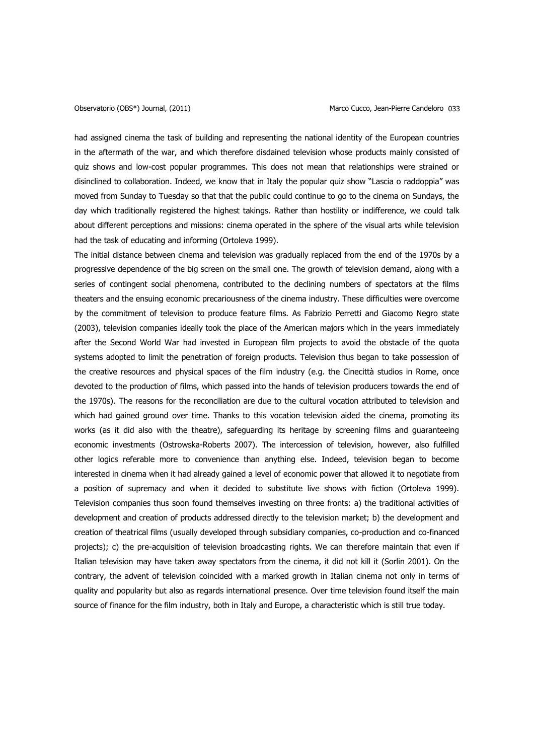had assigned cinema the task of building and representing the national identity of the European countries in the aftermath of the war, and which therefore disdained television whose products mainly consisted of quiz shows and low-cost popular programmes. This does not mean that relationships were strained or disinclined to collaboration. Indeed, we know that in Italy the popular quiz show "Lascia o raddoppia" was moved from Sunday to Tuesday so that that the public could continue to go to the cinema on Sundays, the day which traditionally registered the highest takings. Rather than hostility or indifference, we could talk about different perceptions and missions: cinema operated in the sphere of the visual arts while television had the task of educating and informing (Ortoleva 1999).

The initial distance between cinema and television was gradually replaced from the end of the 1970s by a progressive dependence of the big screen on the small one. The growth of television demand, along with a series of contingent social phenomena, contributed to the declining numbers of spectators at the films theaters and the ensuing economic precariousness of the cinema industry. These difficulties were overcome by the commitment of television to produce feature films. As Fabrizio Perretti and Giacomo Negro state (2003), television companies ideally took the place of the American majors which in the years immediately after the Second World War had invested in European film projects to avoid the obstacle of the quota systems adopted to limit the penetration of foreign products. Television thus began to take possession of the creative resources and physical spaces of the film industry (e.g. the Cinecittà studios in Rome, once devoted to the production of films, which passed into the hands of television producers towards the end of the 1970s). The reasons for the reconciliation are due to the cultural vocation attributed to television and which had gained ground over time. Thanks to this vocation television aided the cinema, promoting its works (as it did also with the theatre), safeguarding its heritage by screening films and guaranteeing economic investments (Ostrowska-Roberts 2007). The intercession of television, however, also fulfilled other logics referable more to convenience than anything else. Indeed, television began to become interested in cinema when it had already gained a level of economic power that allowed it to negotiate from a position of supremacy and when it decided to substitute live shows with fiction (Ortoleva 1999). Television companies thus soon found themselves investing on three fronts: a) the traditional activities of development and creation of products addressed directly to the television market; b) the development and creation of theatrical films (usually developed through subsidiary companies, co-production and co-financed projects); c) the pre-acquisition of television broadcasting rights. We can therefore maintain that even if Italian television may have taken away spectators from the cinema, it did not kill it (Sorlin 2001). On the contrary, the advent of television coincided with a marked growth in Italian cinema not only in terms of quality and popularity but also as regards international presence. Over time television found itself the main source of finance for the film industry, both in Italy and Europe, a characteristic which is still true today.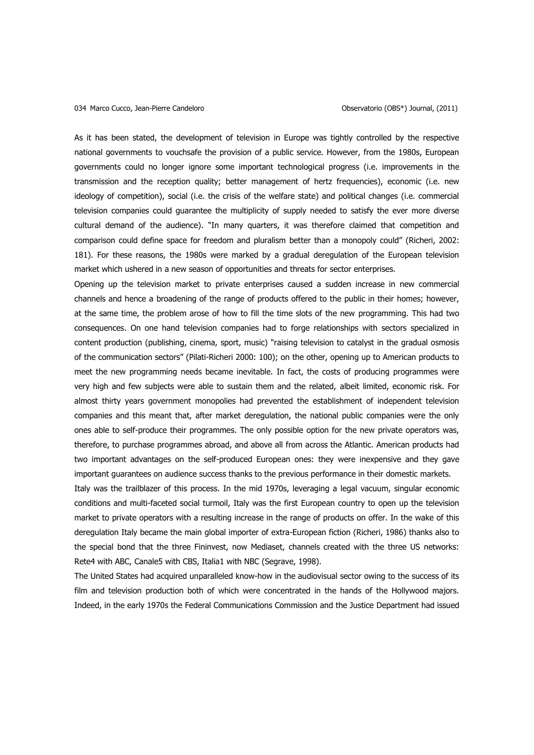#### 034 Marco Cucco, Jean-Pierre Candeloro **Observatorio (OBS\*)** Journal, (2011)

As it has been stated, the development of television in Europe was tightly controlled by the respective national governments to vouchsafe the provision of a public service. However, from the 1980s, European governments could no longer ignore some important technological progress (i.e. improvements in the transmission and the reception quality; better management of hertz frequencies), economic (i.e. new ideology of competition), social (i.e. the crisis of the welfare state) and political changes (i.e. commercial television companies could guarantee the multiplicity of supply needed to satisfy the ever more diverse cultural demand of the audience). "In many quarters, it was therefore claimed that competition and comparison could define space for freedom and pluralism better than a monopoly could" (Richeri, 2002: 181). For these reasons, the 1980s were marked by a gradual deregulation of the European television market which ushered in a new season of opportunities and threats for sector enterprises.

Opening up the television market to private enterprises caused a sudden increase in new commercial channels and hence a broadening of the range of products offered to the public in their homes; however, at the same time, the problem arose of how to fill the time slots of the new programming. This had two consequences. On one hand television companies had to forge relationships with sectors specialized in content production (publishing, cinema, sport, music) "raising television to catalyst in the gradual osmosis of the communication sectors" (Pilati-Richeri 2000: 100); on the other, opening up to American products to meet the new programming needs became inevitable. In fact, the costs of producing programmes were very high and few subjects were able to sustain them and the related, albeit limited, economic risk. For almost thirty years government monopolies had prevented the establishment of independent television companies and this meant that, after market deregulation, the national public companies were the only ones able to self-produce their programmes. The only possible option for the new private operators was, therefore, to purchase programmes abroad, and above all from across the Atlantic. American products had two important advantages on the self-produced European ones: they were inexpensive and they gave important guarantees on audience success thanks to the previous performance in their domestic markets.

Italy was the trailblazer of this process. In the mid 1970s, leveraging a legal vacuum, singular economic conditions and multi-faceted social turmoil, Italy was the first European country to open up the television market to private operators with a resulting increase in the range of products on offer. In the wake of this deregulation Italy became the main global importer of extra-European fiction (Richeri, 1986) thanks also to the special bond that the three Fininvest, now Mediaset, channels created with the three US networks: Rete4 with ABC, Canale5 with CBS, Italia1 with NBC (Segrave, 1998).

The United States had acquired unparalleled know-how in the audiovisual sector owing to the success of its film and television production both of which were concentrated in the hands of the Hollywood majors. Indeed, in the early 1970s the Federal Communications Commission and the Justice Department had issued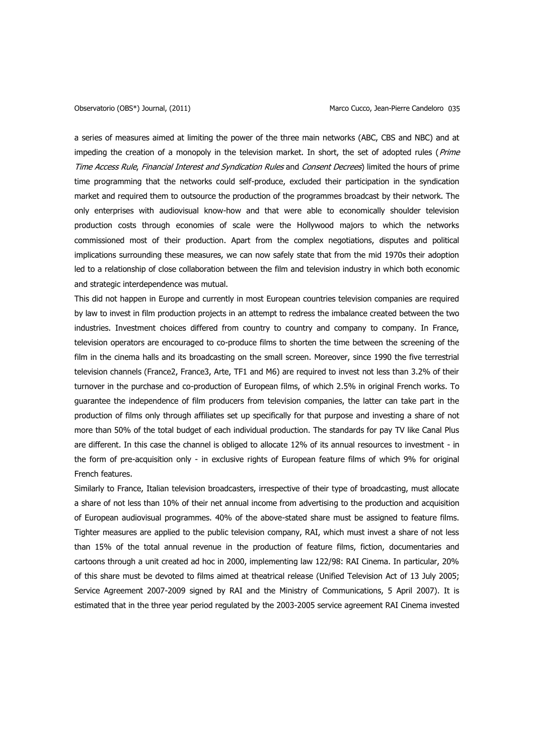a series of measures aimed at limiting the power of the three main networks (ABC, CBS and NBC) and at impeding the creation of a monopoly in the television market. In short, the set of adopted rules (Prime Time Access Rule, Financial Interest and Syndication Rules and Consent Decrees) limited the hours of prime time programming that the networks could self-produce, excluded their participation in the syndication market and required them to outsource the production of the programmes broadcast by their network. The only enterprises with audiovisual know-how and that were able to economically shoulder television production costs through economies of scale were the Hollywood majors to which the networks commissioned most of their production. Apart from the complex negotiations, disputes and political implications surrounding these measures, we can now safely state that from the mid 1970s their adoption led to a relationship of close collaboration between the film and television industry in which both economic and strategic interdependence was mutual.

This did not happen in Europe and currently in most European countries television companies are required by law to invest in film production projects in an attempt to redress the imbalance created between the two industries. Investment choices differed from country to country and company to company. In France, television operators are encouraged to co-produce films to shorten the time between the screening of the film in the cinema halls and its broadcasting on the small screen. Moreover, since 1990 the five terrestrial television channels (France2, France3, Arte, TF1 and M6) are required to invest not less than 3.2% of their turnover in the purchase and co-production of European films, of which 2.5% in original French works. To guarantee the independence of film producers from television companies, the latter can take part in the production of films only through affiliates set up specifically for that purpose and investing a share of not more than 50% of the total budget of each individual production. The standards for pay TV like Canal Plus are different. In this case the channel is obliged to allocate 12% of its annual resources to investment - in the form of pre-acquisition only - in exclusive rights of European feature films of which 9% for original French features.

Similarly to France, Italian television broadcasters, irrespective of their type of broadcasting, must allocate a share of not less than 10% of their net annual income from advertising to the production and acquisition of European audiovisual programmes. 40% of the above-stated share must be assigned to feature films. Tighter measures are applied to the public television company, RAI, which must invest a share of not less than 15% of the total annual revenue in the production of feature films, fiction, documentaries and cartoons through a unit created ad hoc in 2000, implementing law 122/98: RAI Cinema. In particular, 20% of this share must be devoted to films aimed at theatrical release (Unified Television Act of 13 July 2005; Service Agreement 2007-2009 signed by RAI and the Ministry of Communications, 5 April 2007). It is estimated that in the three year period regulated by the 2003-2005 service agreement RAI Cinema invested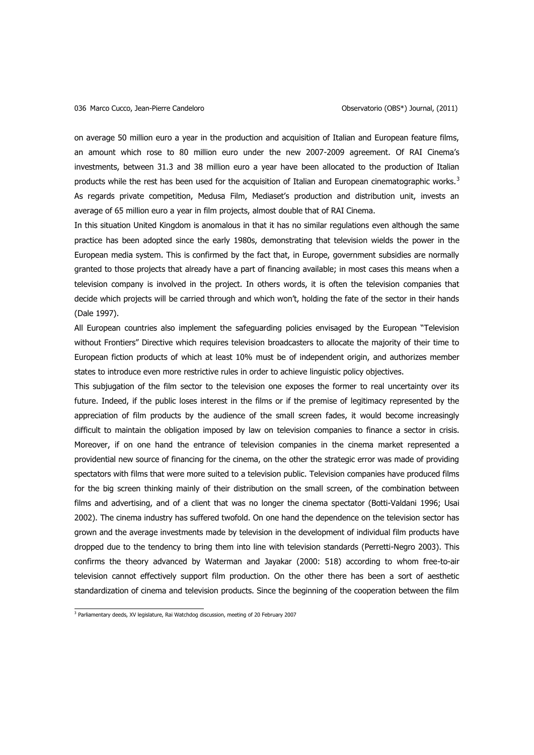on average 50 million euro a year in the production and acquisition of Italian and European feature films, an amount which rose to 80 million euro under the new 2007-2009 agreement. Of RAI Cinema"s investments, between 31.3 and 38 million euro a year have been allocated to the production of Italian products while the rest has been used for the acquisition of Italian and European cinematographic works.<sup>3</sup> As regards private competition, Medusa Film, Mediaset"s production and distribution unit, invests an average of 65 million euro a year in film projects, almost double that of RAI Cinema.

In this situation United Kingdom is anomalous in that it has no similar regulations even although the same practice has been adopted since the early 1980s, demonstrating that television wields the power in the European media system. This is confirmed by the fact that, in Europe, government subsidies are normally granted to those projects that already have a part of financing available; in most cases this means when a television company is involved in the project. In others words, it is often the television companies that decide which projects will be carried through and which won"t, holding the fate of the sector in their hands (Dale 1997).

All European countries also implement the safeguarding policies envisaged by the European "Television without Frontiers" Directive which requires television broadcasters to allocate the majority of their time to European fiction products of which at least 10% must be of independent origin, and authorizes member states to introduce even more restrictive rules in order to achieve linguistic policy objectives.

This subjugation of the film sector to the television one exposes the former to real uncertainty over its future. Indeed, if the public loses interest in the films or if the premise of legitimacy represented by the appreciation of film products by the audience of the small screen fades, it would become increasingly difficult to maintain the obligation imposed by law on television companies to finance a sector in crisis. Moreover, if on one hand the entrance of television companies in the cinema market represented a providential new source of financing for the cinema, on the other the strategic error was made of providing spectators with films that were more suited to a television public. Television companies have produced films for the big screen thinking mainly of their distribution on the small screen, of the combination between films and advertising, and of a client that was no longer the cinema spectator (Botti-Valdani 1996; Usai 2002). The cinema industry has suffered twofold. On one hand the dependence on the television sector has grown and the average investments made by television in the development of individual film products have dropped due to the tendency to bring them into line with television standards (Perretti-Negro 2003). This confirms the theory advanced by Waterman and Jayakar (2000: 518) according to whom free-to-air television cannot effectively support film production. On the other there has been a sort of aesthetic standardization of cinema and television products. Since the beginning of the cooperation between the film

 3 Parliamentary deeds, XV legislature, Rai Watchdog discussion, meeting of 20 February 2007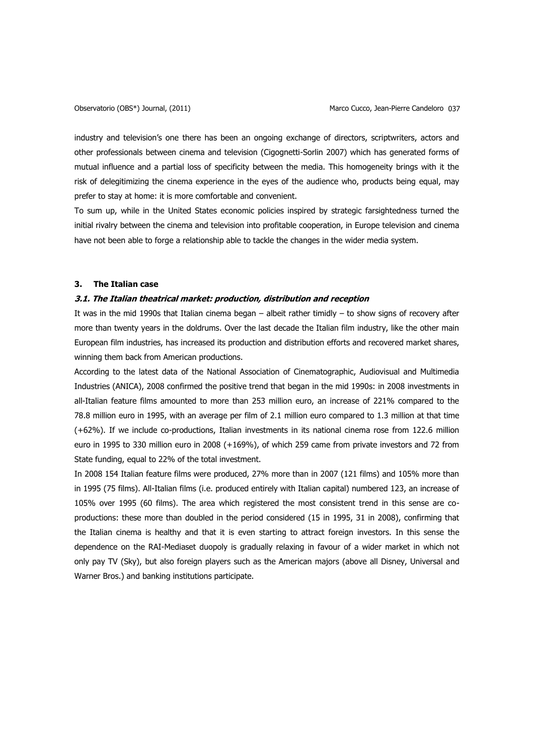industry and television's one there has been an ongoing exchange of directors, scriptwriters, actors and other professionals between cinema and television (Cigognetti-Sorlin 2007) which has generated forms of mutual influence and a partial loss of specificity between the media. This homogeneity brings with it the risk of delegitimizing the cinema experience in the eyes of the audience who, products being equal, may prefer to stay at home: it is more comfortable and convenient.

To sum up, while in the United States economic policies inspired by strategic farsightedness turned the initial rivalry between the cinema and television into profitable cooperation, in Europe television and cinema have not been able to forge a relationship able to tackle the changes in the wider media system.

#### **3. The Italian case**

# **3.1. The Italian theatrical market: production, distribution and reception**

It was in the mid 1990s that Italian cinema began – albeit rather timidly – to show signs of recovery after more than twenty years in the doldrums. Over the last decade the Italian film industry, like the other main European film industries, has increased its production and distribution efforts and recovered market shares, winning them back from American productions.

According to the latest data of the National Association of Cinematographic, Audiovisual and Multimedia Industries (ANICA), 2008 confirmed the positive trend that began in the mid 1990s: in 2008 investments in all-Italian feature films amounted to more than 253 million euro, an increase of 221% compared to the 78.8 million euro in 1995, with an average per film of 2.1 million euro compared to 1.3 million at that time (+62%). If we include co-productions, Italian investments in its national cinema rose from 122.6 million euro in 1995 to 330 million euro in 2008 (+169%), of which 259 came from private investors and 72 from State funding, equal to 22% of the total investment.

In 2008 154 Italian feature films were produced, 27% more than in 2007 (121 films) and 105% more than in 1995 (75 films). All-Italian films (i.e. produced entirely with Italian capital) numbered 123, an increase of 105% over 1995 (60 films). The area which registered the most consistent trend in this sense are coproductions: these more than doubled in the period considered (15 in 1995, 31 in 2008), confirming that the Italian cinema is healthy and that it is even starting to attract foreign investors. In this sense the dependence on the RAI-Mediaset duopoly is gradually relaxing in favour of a wider market in which not only pay TV (Sky), but also foreign players such as the American majors (above all Disney, Universal and Warner Bros.) and banking institutions participate.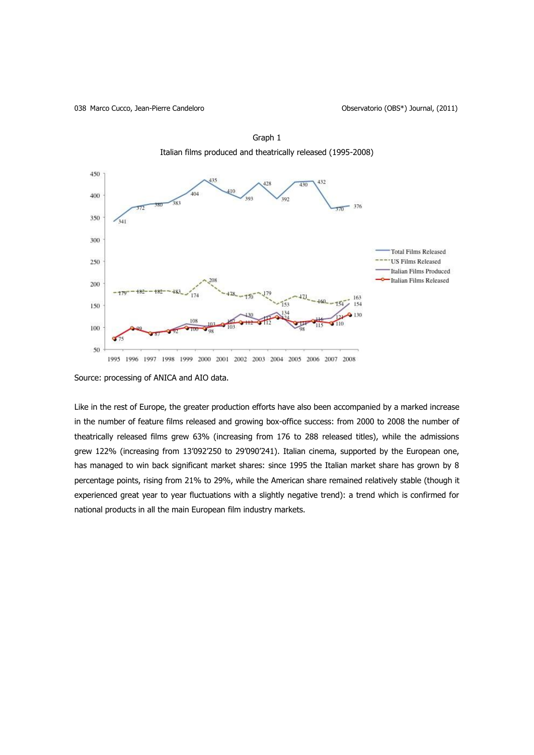038 Marco Cucco, Jean-Pierre Candeloro **Observatorio (OBS\*)** Journal, (2011)



Graph 1 Italian films produced and theatrically released (1995-2008)

Source: processing of ANICA and AIO data.

Like in the rest of Europe, the greater production efforts have also been accompanied by a marked increase in the number of feature films released and growing box-office success: from 2000 to 2008 the number of theatrically released films grew 63% (increasing from 176 to 288 released titles), while the admissions grew 122% (increasing from 13"092"250 to 29"090"241). Italian cinema, supported by the European one, has managed to win back significant market shares: since 1995 the Italian market share has grown by 8 percentage points, rising from 21% to 29%, while the American share remained relatively stable (though it experienced great year to year fluctuations with a slightly negative trend): a trend which is confirmed for national products in all the main European film industry markets.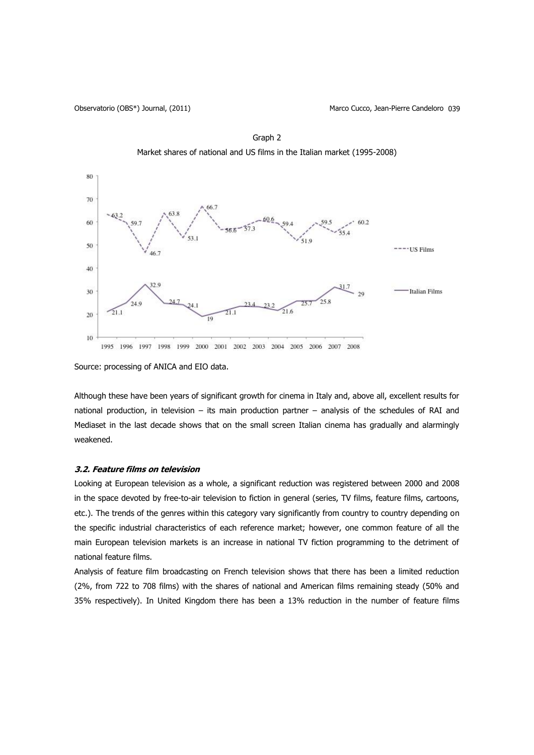Observatorio (OBS\*) Journal, (2011) Marco Cucco, Jean-Pierre Candeloro 039





Source: processing of ANICA and EIO data.

Although these have been years of significant growth for cinema in Italy and, above all, excellent results for national production, in television – its main production partner – analysis of the schedules of RAI and Mediaset in the last decade shows that on the small screen Italian cinema has gradually and alarmingly weakened.

### **3.2. Feature films on television**

Looking at European television as a whole, a significant reduction was registered between 2000 and 2008 in the space devoted by free-to-air television to fiction in general (series, TV films, feature films, cartoons, etc.). The trends of the genres within this category vary significantly from country to country depending on the specific industrial characteristics of each reference market; however, one common feature of all the main European television markets is an increase in national TV fiction programming to the detriment of national feature films.

Analysis of feature film broadcasting on French television shows that there has been a limited reduction (2%, from 722 to 708 films) with the shares of national and American films remaining steady (50% and 35% respectively). In United Kingdom there has been a 13% reduction in the number of feature films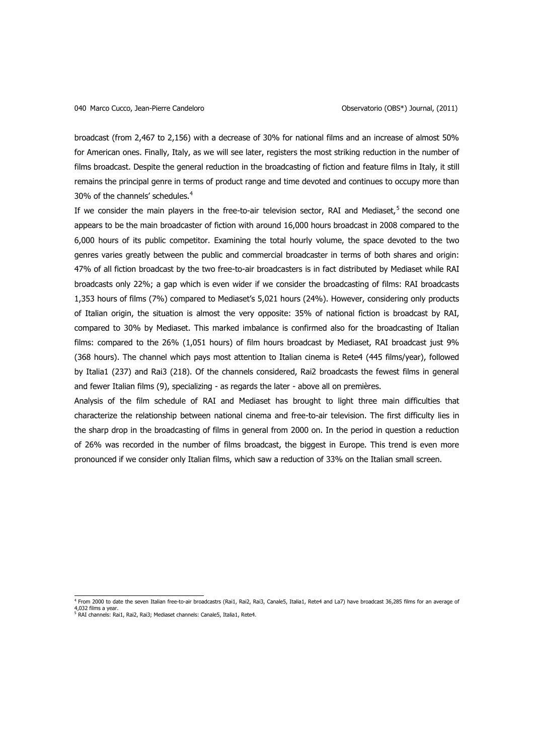broadcast (from 2,467 to 2,156) with a decrease of 30% for national films and an increase of almost 50% for American ones. Finally, Italy, as we will see later, registers the most striking reduction in the number of films broadcast. Despite the general reduction in the broadcasting of fiction and feature films in Italy, it still remains the principal genre in terms of product range and time devoted and continues to occupy more than 30% of the channels' schedules.<sup>4</sup>

If we consider the main players in the free-to-air television sector, RAI and Mediaset,<sup>5</sup> the second one appears to be the main broadcaster of fiction with around 16,000 hours broadcast in 2008 compared to the 6,000 hours of its public competitor. Examining the total hourly volume, the space devoted to the two genres varies greatly between the public and commercial broadcaster in terms of both shares and origin: 47% of all fiction broadcast by the two free-to-air broadcasters is in fact distributed by Mediaset while RAI broadcasts only 22%; a gap which is even wider if we consider the broadcasting of films: RAI broadcasts 1,353 hours of films (7%) compared to Mediaset"s 5,021 hours (24%). However, considering only products of Italian origin, the situation is almost the very opposite: 35% of national fiction is broadcast by RAI, compared to 30% by Mediaset. This marked imbalance is confirmed also for the broadcasting of Italian films: compared to the 26% (1,051 hours) of film hours broadcast by Mediaset, RAI broadcast just 9% (368 hours). The channel which pays most attention to Italian cinema is Rete4 (445 films/year), followed by Italia1 (237) and Rai3 (218). Of the channels considered, Rai2 broadcasts the fewest films in general and fewer Italian films (9), specializing - as regards the later - above all on premières.

Analysis of the film schedule of RAI and Mediaset has brought to light three main difficulties that characterize the relationship between national cinema and free-to-air television. The first difficulty lies in the sharp drop in the broadcasting of films in general from 2000 on. In the period in question a reduction of 26% was recorded in the number of films broadcast, the biggest in Europe. This trend is even more pronounced if we consider only Italian films, which saw a reduction of 33% on the Italian small screen.

 4 From 2000 to date the seven Italian free-to-air broadcastrs (Rai1, Rai2, Rai3, Canale5, Italia1, Rete4 and La7) have broadcast 36,285 films for an average of 4,032 films a year.<br><sup>5</sup> RAI channels: Rai1, Rai2, Rai3; Mediaset channels: Canale5, Italia1, Rete4.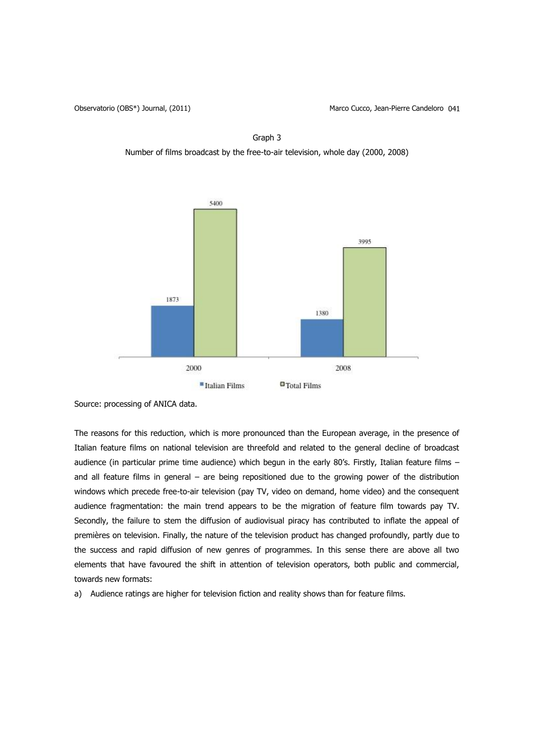Graph 3 Number of films broadcast by the free-to-air television, whole day (2000, 2008)



Source: processing of ANICA data.

The reasons for this reduction, which is more pronounced than the European average, in the presence of Italian feature films on national television are threefold and related to the general decline of broadcast audience (in particular prime time audience) which begun in the early 80's. Firstly, Italian feature films and all feature films in general – are being repositioned due to the growing power of the distribution windows which precede free-to-air television (pay TV, video on demand, home video) and the consequent audience fragmentation: the main trend appears to be the migration of feature film towards pay TV. Secondly, the failure to stem the diffusion of audiovisual piracy has contributed to inflate the appeal of premières on television. Finally, the nature of the television product has changed profoundly, partly due to the success and rapid diffusion of new genres of programmes. In this sense there are above all two elements that have favoured the shift in attention of television operators, both public and commercial, towards new formats:

a) Audience ratings are higher for television fiction and reality shows than for feature films.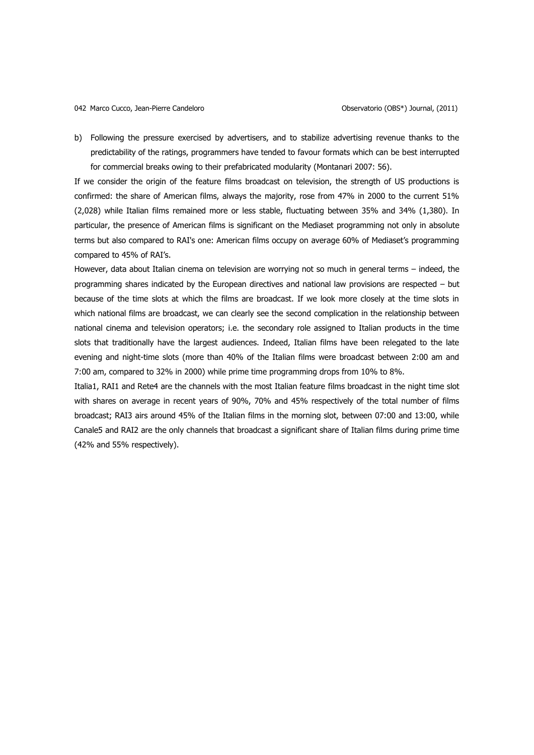b) Following the pressure exercised by advertisers, and to stabilize advertising revenue thanks to the predictability of the ratings, programmers have tended to favour formats which can be best interrupted for commercial breaks owing to their prefabricated modularity (Montanari 2007: 56).

If we consider the origin of the feature films broadcast on television, the strength of US productions is confirmed: the share of American films, always the majority, rose from 47% in 2000 to the current 51% (2,028) while Italian films remained more or less stable, fluctuating between 35% and 34% (1,380). In particular, the presence of American films is significant on the Mediaset programming not only in absolute terms but also compared to RAI's one: American films occupy on average 60% of Mediaset's programming compared to 45% of RAI's.

However, data about Italian cinema on television are worrying not so much in general terms – indeed, the programming shares indicated by the European directives and national law provisions are respected – but because of the time slots at which the films are broadcast. If we look more closely at the time slots in which national films are broadcast, we can clearly see the second complication in the relationship between national cinema and television operators; i.e. the secondary role assigned to Italian products in the time slots that traditionally have the largest audiences. Indeed, Italian films have been relegated to the late evening and night-time slots (more than 40% of the Italian films were broadcast between 2:00 am and 7:00 am, compared to 32% in 2000) while prime time programming drops from 10% to 8%.

Italia1, RAI1 and Rete4 are the channels with the most Italian feature films broadcast in the night time slot with shares on average in recent years of 90%, 70% and 45% respectively of the total number of films broadcast; RAI3 airs around 45% of the Italian films in the morning slot, between 07:00 and 13:00, while Canale5 and RAI2 are the only channels that broadcast a significant share of Italian films during prime time (42% and 55% respectively).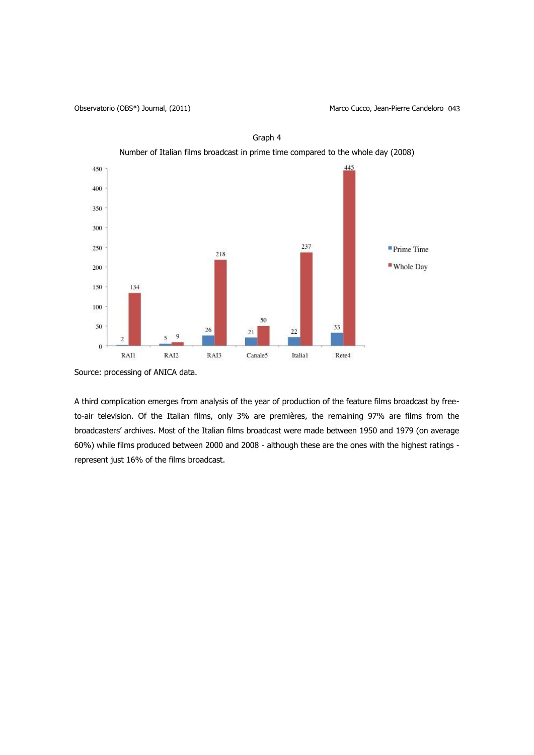

Graph 4

Source: processing of ANICA data.

A third complication emerges from analysis of the year of production of the feature films broadcast by freeto-air television. Of the Italian films, only 3% are premières, the remaining 97% are films from the broadcasters" archives. Most of the Italian films broadcast were made between 1950 and 1979 (on average 60%) while films produced between 2000 and 2008 - although these are the ones with the highest ratings represent just 16% of the films broadcast.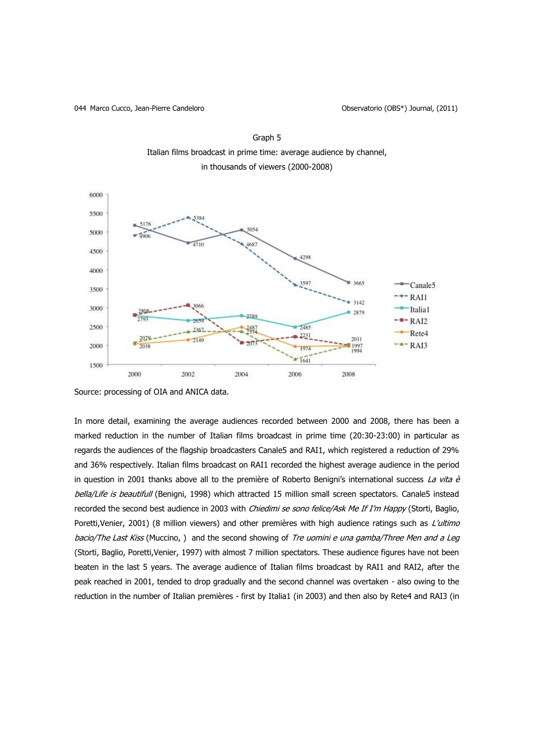044 Marco Cucco, Jean-Pierre Candeloro **Observatorio (OBS<sup>\*</sup>)** Journal, (2011)





In more detail, examining the average audiences recorded between 2000 and 2008, there has been a marked reduction in the number of Italian films broadcast in prime time (20:30-23:00) in particular as regards the audiences of the flagship broadcasters Canale5 and RAI1, which registered a reduction of 29% and 36% respectively. Italian films broadcast on RAI1 recorded the highest average audience in the period in question in 2001 thanks above all to the première of Roberto Benigni's international success La vita è bella/Life is beautifull (Benigni, 1998) which attracted 15 million small screen spectators. Canale5 instead recorded the second best audience in 2003 with Chiedimi se sono felice/Ask Me If I'm Happy (Storti, Baglio, Poretti, Venier, 2001) (8 million viewers) and other premières with high audience ratings such as L'ultimo bacio/The Last Kiss (Muccino, ) and the second showing of Tre uomini e una gamba/Three Men and a Leg (Storti, Baglio, Poretti,Venier, 1997) with almost 7 million spectators. These audience figures have not been beaten in the last 5 years. The average audience of Italian films broadcast by RAI1 and RAI2, after the peak reached in 2001, tended to drop gradually and the second channel was overtaken - also owing to the reduction in the number of Italian premières - first by Italia1 (in 2003) and then also by Rete4 and RAI3 (in

Source: processing of OIA and ANICA data.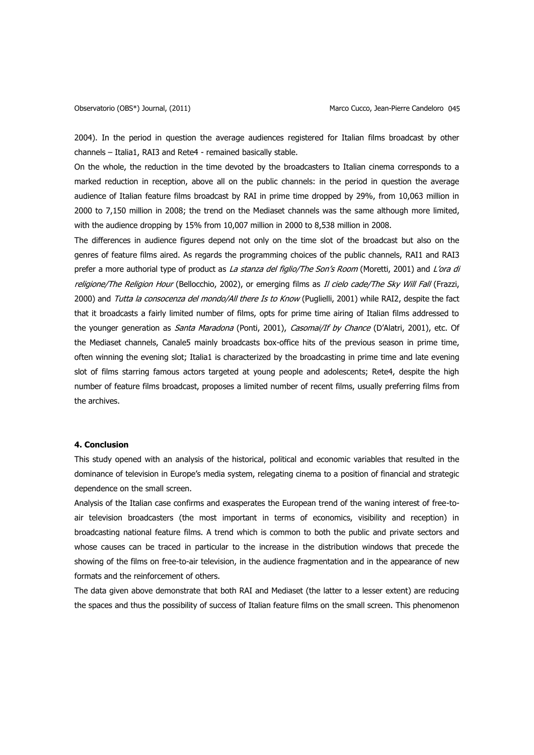2004). In the period in question the average audiences registered for Italian films broadcast by other channels – Italia1, RAI3 and Rete4 - remained basically stable.

On the whole, the reduction in the time devoted by the broadcasters to Italian cinema corresponds to a marked reduction in reception, above all on the public channels: in the period in question the average audience of Italian feature films broadcast by RAI in prime time dropped by 29%, from 10,063 million in 2000 to 7,150 million in 2008; the trend on the Mediaset channels was the same although more limited, with the audience dropping by 15% from 10,007 million in 2000 to 8,538 million in 2008.

The differences in audience figures depend not only on the time slot of the broadcast but also on the genres of feature films aired. As regards the programming choices of the public channels, RAI1 and RAI3 prefer a more authorial type of product as La stanza del figlio/The Son's Room (Moretti, 2001) and L'ora di religione/The Religion Hour (Bellocchio, 2002), or emerging films as Il cielo cade/The Sky Will Fall (Frazzi, 2000) and Tutta la consocenza del mondo/All there Is to Know (Puglielli, 2001) while RAI2, despite the fact that it broadcasts a fairly limited number of films, opts for prime time airing of Italian films addressed to the younger generation as *Santa Maradona* (Ponti, 2001), Casomai/If by Chance (D'Alatri, 2001), etc. Of the Mediaset channels, Canale5 mainly broadcasts box-office hits of the previous season in prime time, often winning the evening slot; Italia1 is characterized by the broadcasting in prime time and late evening slot of films starring famous actors targeted at young people and adolescents; Rete4, despite the high number of feature films broadcast, proposes a limited number of recent films, usually preferring films from the archives.

# **4. Conclusion**

This study opened with an analysis of the historical, political and economic variables that resulted in the dominance of television in Europe"s media system, relegating cinema to a position of financial and strategic dependence on the small screen.

Analysis of the Italian case confirms and exasperates the European trend of the waning interest of free-toair television broadcasters (the most important in terms of economics, visibility and reception) in broadcasting national feature films. A trend which is common to both the public and private sectors and whose causes can be traced in particular to the increase in the distribution windows that precede the showing of the films on free-to-air television, in the audience fragmentation and in the appearance of new formats and the reinforcement of others.

The data given above demonstrate that both RAI and Mediaset (the latter to a lesser extent) are reducing the spaces and thus the possibility of success of Italian feature films on the small screen. This phenomenon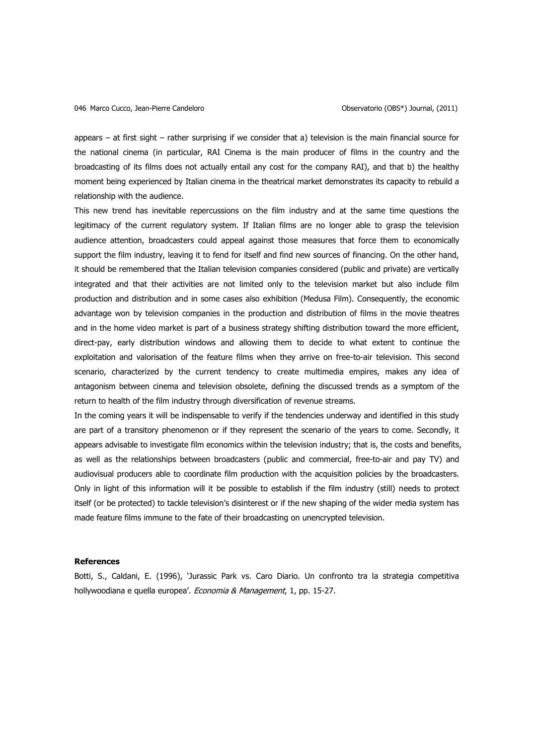appears – at first sight – rather surprising if we consider that a) television is the main financial source for the national cinema (in particular, RAI Cinema is the main producer of films in the country and the broadcasting of its films does not actually entail any cost for the company RAI), and that b) the healthy moment being experienced by Italian cinema in the theatrical market demonstrates its capacity to rebuild a relationship with the audience.

This new trend has inevitable repercussions on the film industry and at the same time questions the legitimacy of the current regulatory system. If Italian films are no longer able to grasp the television audience attention, broadcasters could appeal against those measures that force them to economically support the film industry, leaving it to fend for itself and find new sources of financing. On the other hand, it should be remembered that the Italian television companies considered (public and private) are vertically integrated and that their activities are not limited only to the television market but also include film production and distribution and in some cases also exhibition (Medusa Film). Consequently, the economic advantage won by television companies in the production and distribution of films in the movie theatres and in the home video market is part of a business strategy shifting distribution toward the more efficient, direct-pay, early distribution windows and allowing them to decide to what extent to continue the exploitation and valorisation of the feature films when they arrive on free-to-air television. This second scenario, characterized by the current tendency to create multimedia empires, makes any idea of antagonism between cinema and television obsolete, defining the discussed trends as a symptom of the return to health of the film industry through diversification of revenue streams.

In the coming years it will be indispensable to verify if the tendencies underway and identified in this study are part of a transitory phenomenon or if they represent the scenario of the years to come. Secondly, it appears advisable to investigate film economics within the television industry; that is, the costs and benefits, as well as the relationships between broadcasters (public and commercial, free-to-air and pay TV) and audiovisual producers able to coordinate film production with the acquisition policies by the broadcasters. Only in light of this information will it be possible to establish if the film industry (still) needs to protect itself (or be protected) to tackle television"s disinterest or if the new shaping of the wider media system has made feature films immune to the fate of their broadcasting on unencrypted television.

#### **References**

Botti, S., Caldani, E. (1996), "Jurassic Park vs. Caro Diario. Un confronto tra la strategia competitiva hollywoodiana e quella europea'. Economia & Management, 1, pp. 15-27.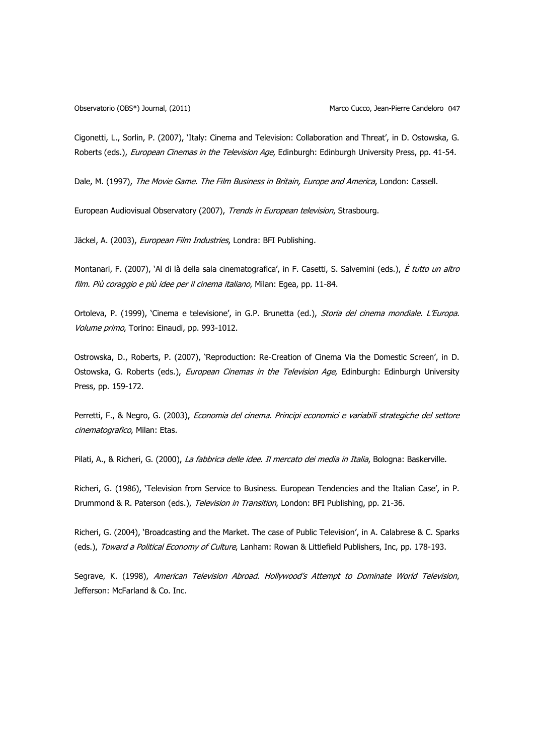Cigonetti, L., Sorlin, P. (2007), "Italy: Cinema and Television: Collaboration and Threat", in D. Ostowska, G. Roberts (eds.), European Cinemas in the Television Age, Edinburgh: Edinburgh University Press, pp. 41-54.

Dale, M. (1997), The Movie Game. The Film Business in Britain, Europe and America, London: Cassell.

European Audiovisual Observatory (2007), Trends in European television, Strasbourg.

Jäckel, A. (2003), European Film Industries, Londra: BFI Publishing.

Montanari, F. (2007), 'Al di là della sala cinematografica', in F. Casetti, S. Salvemini (eds.), È tutto un altro film. Più coraggio e più idee per il cinema italiano, Milan: Egea, pp. 11-84.

Ortoleva, P. (1999), 'Cinema e televisione', in G.P. Brunetta (ed.), Storia del cinema mondiale. L'Europa. Volume primo, Torino: Einaudi, pp. 993-1012.

Ostrowska, D., Roberts, P. (2007), "Reproduction: Re-Creation of Cinema Via the Domestic Screen", in D. Ostowska, G. Roberts (eds.), European Cinemas in the Television Age, Edinburgh: Edinburgh University Press, pp. 159-172.

Perretti, F., & Negro, G. (2003), Economia del cinema. Principi economici e variabili strategiche del settore cinematografico, Milan: Etas.

Pilati, A., & Richeri, G. (2000), La fabbrica delle idee. Il mercato dei media in Italia, Bologna: Baskerville.

Richeri, G. (1986), 'Television from Service to Business. European Tendencies and the Italian Case', in P. Drummond & R. Paterson (eds.), Television in Transition, London: BFI Publishing, pp. 21-36.

Richeri, G. (2004), "Broadcasting and the Market. The case of Public Television", in A. Calabrese & C. Sparks (eds.), Toward a Political Economy of Culture, Lanham: Rowan & Littlefield Publishers, Inc, pp. 178-193.

Segrave, K. (1998), American Television Abroad. Hollywood's Attempt to Dominate World Television, Jefferson: McFarland & Co. Inc.